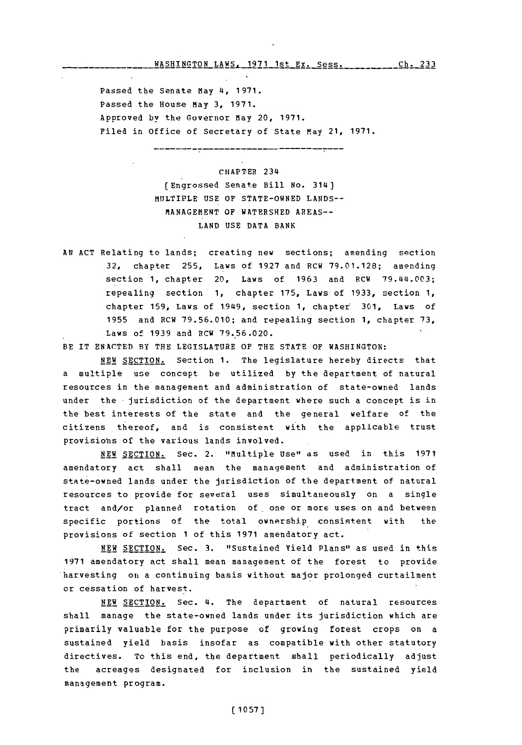## **WASHINGTON** LAWS, **1971** 1st Ex. Sess.ch 23 ch. **233**

Passed the Senate May 4, **1971.** Passed the House May **3, 1971.** Approved by the Governor May 20, **1971.** Filed in office of Secretary of State May 21, **1971.**

> CHAPTER 234 (Engrossed Senate Bill No. 314) MULTIPLE **USE OF STATE-OWNED LANDS-- MANAGEMENT** OF WATERSHED **AREAS-LAND USE DATA** BANK

**AN ACT** Relating to lands; creating new sections; amending section **32,** chapter **255,** Laws of **1927** and RCW **79.01.128;** amending section **1,** chapter 20, Laws of **1963** and RCW 79.414.003; repealing section **1,** chapter **175,** Laws of **1933,** section **1,** chapter **159,** Laws of 1.949, section **1,** chapter **301,** Laws of **1955** and RCW **79.56.010;** and repealing section **1,** chapter **73,** Laws of **1939** and RCW **79.56.020.**

BE IT **ENACTED** BY THE **LEGISLATURE** OF THE **STATE** OF **WASHINGTON:**

**NEW** SECTION. Section **1.** The legislature hereby directs that a multiple use concept be utilized **by** the department of natural resources in the management and administration of state-owned lands under the jurisdiction of the department where such a concept is in the best interests of the state and the general welfare of the citizens thereof, and is consistent with the applicable trust provisions of the various lands involved.

**NEW** SECTION. Sec. 2. "Multiple Use" as used in this **1971** amendatory act shall mean the management and administration of state-owned lands under the jurisdiction of the department of natural resources to provide for several uses simultaneously on a single tract and/or planned rotation of, one or more uses on and between specific portions of the total ownership consistent with the provisions of section **1** of this **1971** amendatory act.

**NEW SECTION.** Sec. **3.** "Sustained Yield Plans" as used in this **1971** amendatory act shall mean management of the forest to provide harvesting on a continuing basis without major prolonged curtailment or cessation of harvest.

**NEW** SECTION. Sec. 4. The department of natural resources shall manage the state-owned lands under its jurisdiction which are primarily valuable for the purpose of growing forest crops on a sustained yield basis insofar as compatible with other statutory directives. To this end, the department shall periodically adjust the acreages designated for inclusion in the sustained yield management program.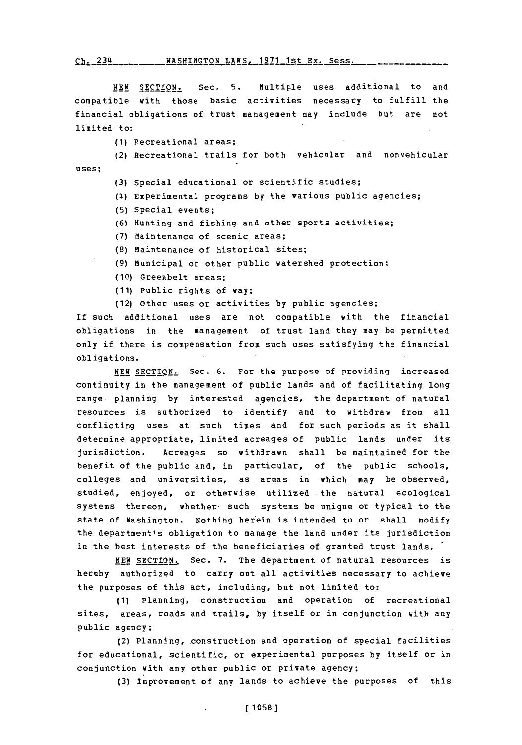## **Ch.** 234 \_\_\_WASHINGTON LAWS, **1971** 1st Ex. Sess. \_\_

**NEW SECTION.** Sec. **5.** Multiple uses additional to and compatible with those basic activities necessary to fulfill the financial obligations of trust management may include but are not limited to:

**(1)** Pecreational areas;

(2) Recreational trails for both vehicular and nonvehicular uses;

- **(3)** Special educational or scientific studies;
- (4I) Experimental programs **by** the various public agencies;
- **(5)** Special events;
- **(6)** Hunting and fishing and other sports activities;
- **(7)** Maintenance of scenic areas;
- **(8)** Maintenance of historical sites;
- **(9)** Municipal or other public watershed protection;
- **(10)** Greenbelt areas;
- **(11)** Public rights of way;
- (12) Other uses or activities **by** public agencies;

If such additional uses are not compatible with the financial obligations in the management of trust land they may be permitted only if there is compensation from such uses satisfying the financial obligations.

NEW **SECTION.** Sec. **6.** For the purpose of providing increased continuity in the management of public lands and of facilitating long range. planning **by** interested agencies, the department of natural resources is authorized to identify and to withdraw from all conflicting uses at such times and for such periods as it shall determine appropriate, limited acreages of public lands under its jurisdiction. Acreages so withdrawn shall be maintained for the benefit of the public and, in particular, of the public schools, colleges and universities, as areas in which may be observed, studied, enjoyed, or otherwise utilized the natural ecological systems thereon, whether such systems be unique or typical to the state of Washington. Nothing herein is intended to or shall modify the department's obligation to manage the land under its jurisdiction in the best interests of the beneficiaries of granted trust lands.

**NEW** SECTION. Sec. **7.** The department of natural resources is hereby authorized to carry out all activities necessary to achieve the purposes of this act, including, but not limited to:

**(1)** Planning, construction and operation of recreational sites, areas, roads and trails, **by** itself or in conjunction with any public agency;

(2) Planning, construction and operation of special facilities for educational, scientific, or experimental purposes **by** itself or in conjunction with any other public or private agency;

**(3)** Improvement of any lands to achieve the purposes of this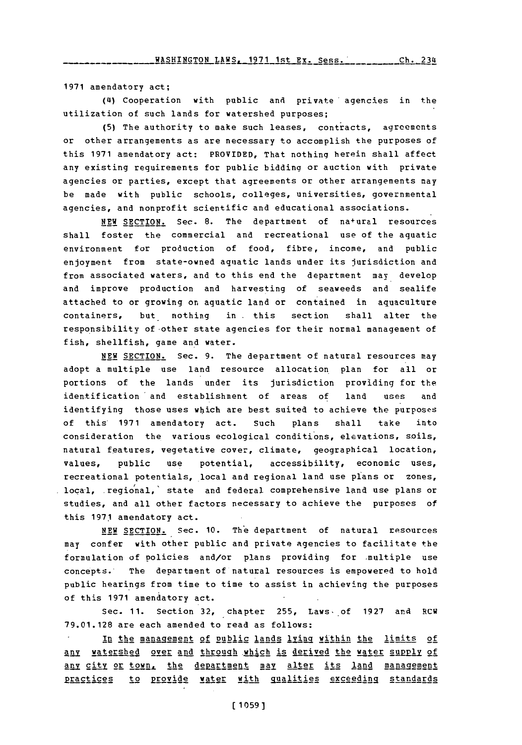**1971** amendatory act;

(4) Cooperation with public and private agencies in the utilization of such lands for watershed purposes;

**(5)** The authority to make such leases, contracts, agreements or other arrangements as are necessary to accomplish the purposes of this **1971** amendatory act: PROVIDED, That nothing herein shall affect any existing requirements for public bidding or auction with private agencies or parties, except that agreements or other arrangements may be made with public schools, colleges, universities, governmental agencies, and nonprofit scientific and educational associations.

**NEW** SECTION. Sec. **8.** The department of na+ural resources shall foster the commercial and recreational use of the aquatic environment for production of food, fibre, income, and public enjoyment from state-owned aquatic lands under its Jurisdiction and from associated waters, and to this end the department may develop and improve production and harvesting of seaweeds and sealife attached to or growing on aquatic land or contained in aquaculture containers, but nothing in .this section shall alter the responsibility of-other state agencies for their normal management of fish, shellfish, game and water.

**NEW** SECTION. Sec. **9.** The department of natural resources may adopt a multiple use land resource allocation plan for all or portions of the lands under its jurisdiction providing for the identification 'and establishment of areas of land **uses** and identifying those uses which are best suited to achieve the purposes of this\* **1971** amendatory act. such plans shall take into consideration the various ecological conditions, elevations, soils, natural features, vegetative cover, climate, geographical location, values, public use potential, accessibility, economic uses, recreational potentials, local and regional land use plans or zones, local, regional,' state and federal comprehensive land use plans or studies, and all other factors necessary to achieve the purposes of this **1971** amendatory act.

**NEW SECTION.** Sec. **10.** The department of natural resources may confer with other public and private agencies to facilitate the formulation of policies and/or plans providing for multiple use concepts.' The department of natural resources is empowered to hold public hearings from time to time to assist in achieving the purposes of this **1971** amendatory act.

Sec. **11.** Section **32,** chapter **255,** Laws, of **1927** and RCW **79.01.128** are each amended to read as follows:

In the management of public lands lying within the limits of An watershed over and throuah 11which is derived the water sujpply **of** any city or town, the department may alter its land management practices to provide water with qualities exceeding standards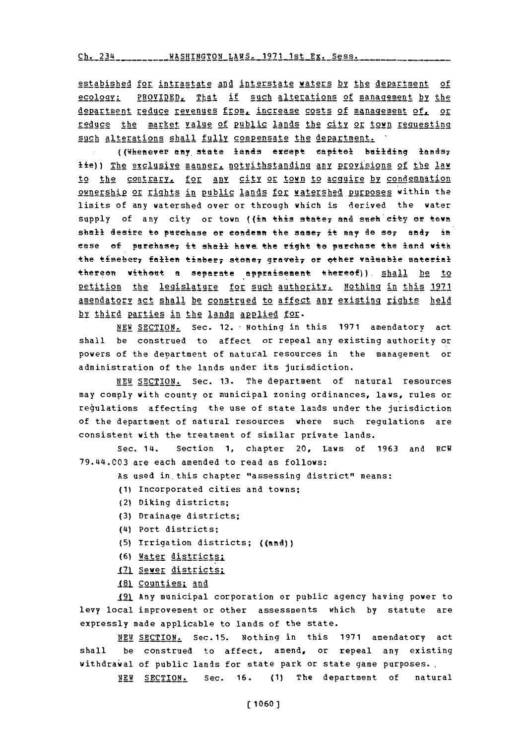Ch. 234 \_\_\_\_\_\_\_\_\_\_\_ WASHINGTON\_LAWS, 1971 1st Ex. Sess.

estabished for intrastate and interstate waters by the department of ecology: PROVIDED, That if such alterations of management by the department reduce revenues from, increase costs of management of, or reduce the market value of public lands the city or town requesting such alterations shall fully compensate the department.

((Whenever any state lands except capitel building lands, tie)) The exclusive manner, notwithstanding any provisions of the law to the contrary, for any city or town to acquire by condemnation ownership or rights in public lands for watershed purposes within the limits of any watershed over or through which is derived the water supply of any city or town ((in this state, and such city or town shall desire to purchase or condemn the same, it may do so, and, in case of purchase, it shall have the right to purchase the land with the timeber, fallen timber, stone, gravel, or other valuable material thereon without a separate appraisement thereof)). Shall he to petition the legislature for such authority. Nothing in this 1971 amendatory act shall be construed to affect any existing rights held by third parties in the lands applied for.

NEW SECTION. Sec. 12. Nothing in this 1971 amendatory act shall be construed to affect or repeal any existing authority or powers of the department of natural resources in the management or administration of the lands under its jurisdiction.

NEW SECTION. Sec. 13. The department of natural resources may comply with county or municipal zoning ordinances, laws, rules or regulations affecting the use of state lands under the jurisdiction of the department of natural resources where such regulations are consistent with the treatment of similar private lands.

Sec. 14. Section 1, chapter 20, Laws of 1963 and RCW 79.44.003 are each amended to read as follows:

As used in this chapter "assessing district" means:

- (1) Incorporated cities and towns:
- (2) Diking districts;
- (3) Drainage districts;
- (4) Port districts;
- (5) Irrigation districts; ((and))
- (6) Water districts:
- 171 Sever districts:
- 181 Counties; and

191 Any municipal corporation or public agency having power to levy local improvement or other assessments which by statute are expressly made applicable to lands of the state.

NEW SECTION. Sec. 15. Nothing in this 1971 amendatory act be construed to affect, amend, or repeal any existing shall withdrawal of public lands for state park or state game purposes. NEW SECTION. Sec. 16. (1) The department of natural